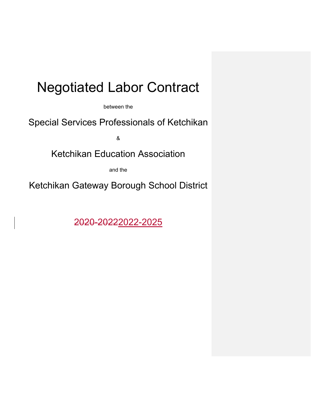# Negotiated Labor Contract

between the

Special Services Professionals of Ketchikan

&

Ketchikan Education Association

and the

Ketchikan Gateway Borough School District

2020-20222022-2025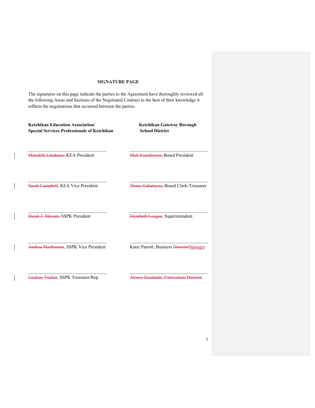# **SIGNATURE PAGE**

The signatures on this page indicate the parties to the Agreement have thoroughly reviewed all the following Areas and Sections of the Negotiated Contract to the best of their knowledge it reflects the negotiations that occurred between the parties.

| <b>Ketchikan Education Association/</b><br><b>Special Services Professionals of Ketchikan</b> | <b>Ketchikan Gateway Borough</b><br><b>School District</b> |
|-----------------------------------------------------------------------------------------------|------------------------------------------------------------|
| Meredith Lundamo, KEA President                                                               | Matt Eisenhower, Board President                           |
| Sarah Campbell, KEA Vice President                                                            | Diane Gubatayao, Board Clerk-Treasurer                     |
| Derek J. Meister, SSPK President                                                              | Elizabeth Lougee, Superintendent                           |
| Andrea Marthinsen, SSPK Vice President                                                        | Katie Parrott, Business DirectorManager                    |
| <b>Lindsay Tucker, SSPK Treasurer/Rep</b>                                                     | Alonso Escalante, Curriculum Director                      |

 $\overline{\phantom{a}}$ 

 $\overline{\phantom{a}}$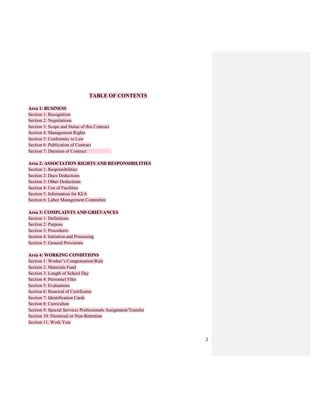# **TABLE OF CONTENTS**

**Area 1: BUSINESS** 

Section 1: Recognition Section 2: Negotiations Section 3: Scope and Status of this Contract Section 4: Management Rights Section 5: Conformity to Law Section 6: Publication of Contract Section 7: Duration of Contract

#### **Area 2: ASSOCIATION RIGHTS AND RESPONSIBILITIES**

Section 1: Responsibilities Section 2: Dues Deductions Section 3: Other Deductions Section 4: Use of Facilities Section 5: Information for KEA Section 6: Labor Management Committee

# **Area 3: COMPLAINTS AND GRIEVANCES**

Section 1: Definitions Section 2: Purpose Section 3: Procedures Section 4: Initiation and Processing Section 5: General Provisions

# **Area 4: WORKING CONDITIONS**

Section 1: Worker's Compensation/Rule Section 2: Materials Fund Section 3: Length of School Day Section 4: Personnel Files Section 5: Evaluations Section 6: Renewal of Certificates Section 7: Identification Cards Section 8: Curriculum Section 9: Special Services Professionals Assignment/Transfer Section 10: Dismissal or Non-Retention Section 11: Work Year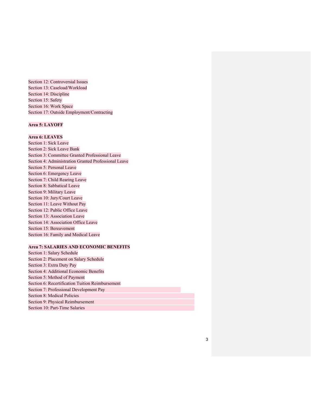Section 12: Controversial Issues Section 13: Caseload/Workload Section 14: Discipline Section 15: Safety Section 16: Work Space Section 17: Outside Employment/Contracting

### **Area 5: LAYOFF**

# **Area 6: LEAVES**

Section 1: Sick Leave Section 2: Sick Leave Bank Section 3: Committee Granted Professional Leave Section 4: Administration Granted Professional Leave Section 5: Personal Leave Section 6: Emergency Leave Section 7: Child Rearing Leave Section 8: Sabbatical Leave Section 9: Military Leave Section 10: Jury/Court Leave Section 11: Leave Without Pay Section 12: Public Office Leave Section 13: Association Leave Section 14: Association Office Leave Section 15: Bereavement Section 16: Family and Medical Leave

# **Area 7: SALARIES AND ECONOMIC BENEFITS**

Section 1: Salary Schedule Section 2: Placement on Salary Schedule Section 3: Extra Duty Pay Section 4: Additional Economic Benefits Section 5: Method of Payment Section 6: Recertification Tuition Reimbursement Section 7: Professional Development Pay Section 8: Medical Policies Section 9: Physical Reimbursement Section 10: Part-Time Salaries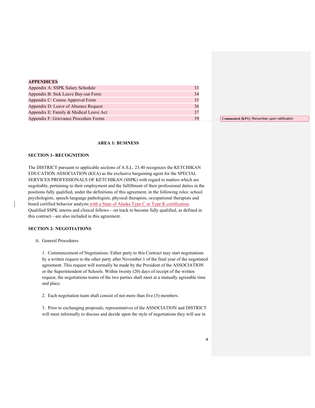| <b>APPENDICES</b> |  |
|-------------------|--|
|-------------------|--|

| Appendix A: SSPK Salary Schedule       |    |
|----------------------------------------|----|
| Appendix B: Sick Leave Buy-out Form    | 34 |
| Appendix C: Course Approval Form       | 35 |
| Appendix D: Leave of Absence Request   | 36 |
| Appendix E: Family & Medical Leave Act | 37 |
| Appendix F: Grievance Procedure Forms  | 39 |

#### **AREA 1: BUSINESS**

#### **SECTION 1- RECOGNITION**

The DISTRICT pursuant to applicable sections of A.S.L. 23.40 recognizes the KETCHIKAN EDUCATION ASSOCIATION (KEA) as the exclusive bargaining agent for the SPECIAL SERVICES PROFESSIONALS OF KETCHIKAN (SSPK) with regard to matters which are negotiable, pertaining to their employment and the fulfillment of their professional duties in the positions fully qualified, under the definitions of this agreement, in the following roles: school psychologists, speech-language pathologists, physical therapists, occupational therapists and board certified behavior analysts with a State of Alaska Type C or Type K certification. Qualified SSPK interns and clinical fellows—on track to become fully qualified, as defined in this contract—are also included in this agreement.

#### **SECTION 2- NEGOTIATIONS**

#### A. General Procedures

1. Commencement of Negotiations: Either party to this Contract may start negotiations by a written request to the other party after November 1 of the final year of the negotiated agreement. This request will normally be made by the President of the ASSOCIATION or the Superintendent of Schools. Within twenty (20) days of receipt of the written request, the negotiations teams of the two parties shall meet at a mutually agreeable time and place.

2. Each negotiation team shall consist of not more than five (5) members.

3. Prior to exchanging proposals, representatives of the ASSOCIATION and DISTRICT will meet informally to discuss and decide upon the style of negotiations they will use in

**Commented [KP1]:** Renumber upon ratification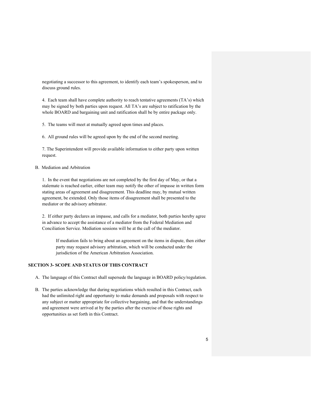negotiating a successor to this agreement, to identify each team's spokesperson, and to discuss ground rules.

4. Each team shall have complete authority to reach tentative agreements (TA's) which may be signed by both parties upon request. All TA's are subject to ratification by the whole BOARD and bargaining unit and ratification shall be by entire package only.

5. The teams will meet at mutually agreed upon times and places.

6. All ground rules will be agreed upon by the end of the second meeting.

7. The Superintendent will provide available information to either party upon written request.

#### B. Mediation and Arbitration

1. In the event that negotiations are not completed by the first day of May, or that a stalemate is reached earlier, either team may notify the other of impasse in written form stating areas of agreement and disagreement. This deadline may, by mutual written agreement, be extended. Only those items of disagreement shall be presented to the mediator or the advisory arbitrator.

2. If either party declares an impasse, and calls for a mediator, both parties hereby agree in advance to accept the assistance of a mediator from the Federal Mediation and Conciliation Service. Mediation sessions will be at the call of the mediator.

If mediation fails to bring about an agreement on the items in dispute, then either party may request advisory arbitration, which will be conducted under the jurisdiction of the American Arbitration Association.

#### **SECTION 3- SCOPE AND STATUS OF THIS CONTRACT**

- A. The language of this Contract shall supersede the language in BOARD policy/regulation.
- B. The parties acknowledge that during negotiations which resulted in this Contract, each had the unlimited right and opportunity to make demands and proposals with respect to any subject or matter appropriate for collective bargaining, and that the understandings and agreement were arrived at by the parties after the exercise of those rights and opportunities as set forth in this Contract.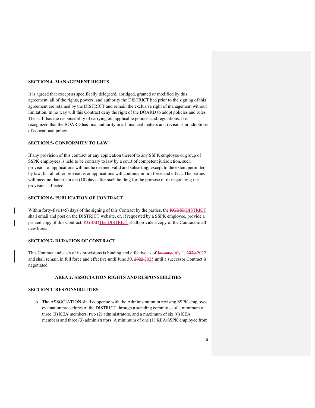#### **SECTION 4- MANAGEMENT RIGHTS**

It is agreed that except as specifically delegated, abridged, granted or modified by this agreement, all of the rights, powers, and authority the DISTRICT had prior to the signing of this agreement are retained by the DISTRICT and remain the exclusive right of management without limitation. In no way will this Contract deny the right of the BOARD to adopt policies and rules. The staff has the responsibility of carrying out applicable policies and regulations. It is recognized that the BOARD has final authority in all financial matters and revisions or adoptions of educational policy.

#### **SECTION 5- CONFORMITY TO LAW**

If any provision of this contract or any application thereof to any SSPK employee or group of SSPK employees is held to be contrary to law by a court of competent jurisdiction, such provision of applications will not be deemed valid and subsisting, except to the extent permitted by law, but all other provisions or applications will continue in full force and effect. The parties will meet not later than ten (10) days after such holding for the purpose of re-negotiating the provisions affected.

# **SECTION 6- PUBLICATION OF CONTRACT**

Within forty-five (45) days of the signing of this Contract by the parties, the **KGBSDDISTRICT** shall email and post on the DISTRICT website, or, if requested by a SSPK employee, provide a printed copy of this Contract. KGBSDThe DISTRICT shall provide a copy of the Contract to all new hires.

#### **SECTION 7- DURATION OF CONTRACT**

This Contract and each of its provisions is binding and effective as of January July 1, 2020-2022 and shall remain in full force and effective until June 30, 2022 2025 until a successor Contract is negotiated.

#### **AREA 2: ASSOCIATION RIGHTS AND RESPONSIBILITIES**

#### **SECTION 1- RESPONSIBILITIES**

A. The ASSOCIATION shall cooperate with the Administration in revising SSPK employee evaluation procedures of the DISTRICT through a standing committee of a minimum of three (3) KEA members, two (2) administrators, and a maximum of six (6) KEA members and three (3) administrators. A minimum of one (1) KEA/SSPK employee from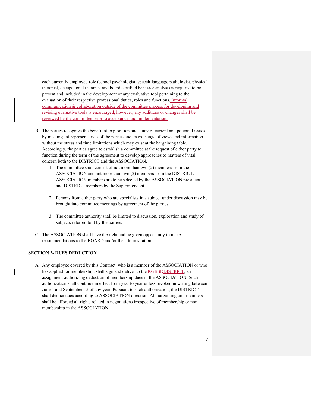each currently employed role (school psychologist, speech-language pathologist, physical therapist, occupational therapist and board certified behavior analyst) is required to be present and included in the development of any evaluative tool pertaining to the evaluation of their respective professional duties, roles and functions. Informal communication & collaboration outside of the committee process for developing and revising evaluative tools is encouraged; however, any additions or changes shall be reviewed by the committee prior to acceptance and implementation.

- B. The parties recognize the benefit of exploration and study of current and potential issues by meetings of representatives of the parties and an exchange of views and information without the stress and time limitations which may exist at the bargaining table. Accordingly, the parties agree to establish a committee at the request of either party to function during the term of the agreement to develop approaches to matters of vital concern both to the DISTRICT and the ASSOCIATION.
	- 1. The committee shall consist of not more than two (2) members from the ASSOCIATION and not more than two (2) members from the DISTRICT. ASSOCIATION members are to be selected by the ASSOCIATION president, and DISTRICT members by the Superintendent.
	- 2. Persons from either party who are specialists in a subject under discussion may be brought into committee meetings by agreement of the parties.
	- 3. The committee authority shall be limited to discussion, exploration and study of subjects referred to it by the parties.
- C. The ASSOCIATION shall have the right and be given opportunity to make recommendations to the BOARD and/or the administration.

#### **SECTION 2- DUES DEDUCTION**

A. Any employee covered by this Contract, who is a member of the ASSOCIATION or who has applied for membership, shall sign and deliver to the **KGBSDDISTRICT**, an assignment authorizing deduction of membership dues in the ASSOCIATION. Such authorization shall continue in effect from year to year unless revoked in writing between June 1 and September 15 of any year. Pursuant to such authorization, the DISTRICT shall deduct dues according to ASSOCIATION direction. All bargaining unit members shall be afforded all rights related to negotiations irrespective of membership or nonmembership in the ASSOCIATION.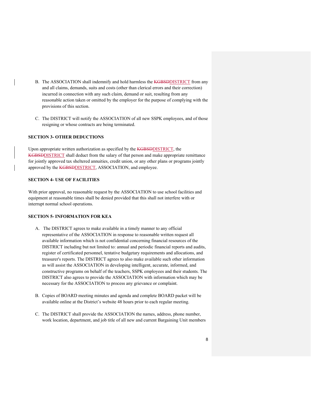- B. The ASSOCIATION shall indemnify and hold harmless the KGBSDDISTRICT from any and all claims, demands, suits and costs (other than clerical errors and their correction) incurred in connection with any such claim, demand or suit, resulting from any reasonable action taken or omitted by the employer for the purpose of complying with the provisions of this section.
- C. The DISTRICT will notify the ASSOCIATION of all new SSPK employees, and of those resigning or whose contracts are being terminated.

# **SECTION 3- OTHER DEDUCTIONS**

Upon appropriate written authorization as specified by the KGBSDDISTRICT, the KGBSDDISTRICT shall deduct from the salary of that person and make appropriate remittance for jointly approved tax sheltered annuities, credit union, or any other plans or programs jointly approved by the **KGBSDDISTRICT**, ASSOCIATION, and employee.

#### **SECTION 4- USE OF FACILITIES**

With prior approval, no reasonable request by the ASSOCIATION to use school facilities and equipment at reasonable times shall be denied provided that this shall not interfere with or interrupt normal school operations.

#### **SECTION 5- INFORMATION FOR KEA**

- A. The DISTRICT agrees to make available in a timely manner to any official representative of the ASSOCIATION in response to reasonable written request all available information which is not confidential concerning financial resources of the DISTRICT including but not limited to: annual and periodic financial reports and audits, register of certificated personnel, tentative budgetary requirements and allocations, and treasurer's reports. The DISTRICT agrees to also make available such other information as will assist the ASSOCIATION in developing intelligent, accurate, informed, and constructive programs on behalf of the teachers, SSPK employees and their students. The DISTRICT also agrees to provide the ASSOCIATION with information which may be necessary for the ASSOCIATION to process any grievance or complaint.
- B. Copies of BOARD meeting minutes and agenda and complete BOARD packet will be available online at the District's website 48 hours prior to each regular meeting.
- C. The DISTRICT shall provide the ASSOCIATION the names, address, phone number, work location, department, and job title of all new and current Bargaining Unit members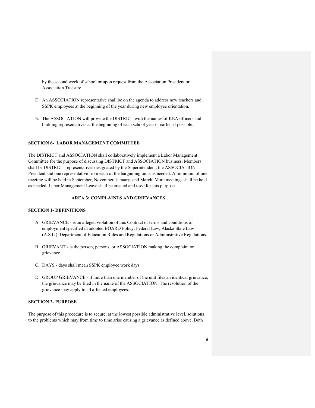by the second week of school or upon request from the Association President or Association Treasure.

- D. An ASSOCIATION representative shall be on the agenda to address new teachers and SSPK employees at the beginning of the year during new employee orientation.
- E. The ASSOCIATION will provide the DISTRICT with the names of KEA officers and building representatives at the beginning of each school year or earlier if possible.

#### **SECTION 6- LABOR MANAGEMENT COMMITTEE**

The DISTRICT and ASSOCIATION shall collaboratively implement a Labor Management Committee for the purpose of discussing DISTRICT and ASSOCIATION business. Members shall be DISTRICT representatives designated by the Superintendent, the ASSOCIATION President and one representative from each of the bargaining units as needed. A minimum of one meeting will be held in September, November, January, and March. More meetings shall be held as needed. Labor Management Leave shall be created and used for this purpose.

#### **AREA 3: COMPLAINTS AND GRIEVANCES**

#### **SECTION 1- DEFINITIONS**

- A. GRIEVANCE is an alleged violation of this Contract or terms and conditions of employment specified in adopted BOARD Policy, Federal Law, Alaska State Law (A.S.L.), Department of Education Rules and Regulations or Administrative Regulations.
- B. GRIEVANT is the person, persons, or ASSOCIATION making the complaint or grievance.
- C. DAYS days shall mean SSPK employee work days.
- D. GROUP GRIEVANCE if more than one member of the unit files an identical grievance, the grievance may be filed in the name of the ASSOCIATION. The resolution of the grievance may apply to all affected employees.

#### **SECTION 2- PURPOSE**

The purpose of this procedure is to secure, at the lowest possible administrative level, solutions to the problems which may from time to time arise causing a grievance as defined above. Both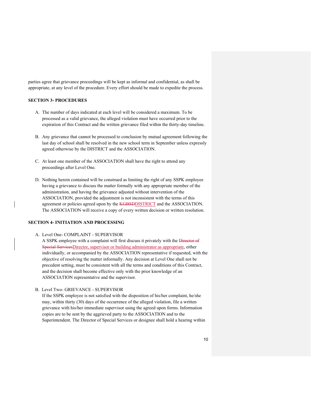parties agree that grievance proceedings will be kept as informal and confidential, as shall be appropriate, at any level of the procedure. Every effort should be made to expedite the process.

#### **SECTION 3- PROCEDURES**

- A. The number of days indicated at each level will be considered a maximum. To be processed as a valid grievance, the alleged violation must have occurred prior to the expiration of this Contract and the written grievance filed within the thirty-day timeline.
- B. Any grievance that cannot be processed to conclusion by mutual agreement following the last day of school shall be resolved in the new school term in September unless expressly agreed otherwise by the DISTRICT and the ASSOCIATION.
- C. At least one member of the ASSOCIATION shall have the right to attend any proceedings after Level One.
- D. Nothing herein contained will be construed as limiting the right of any SSPK employee having a grievance to discuss the matter formally with any appropriate member of the administration, and having the grievance adjusted without intervention of the ASSOCIATION, provided the adjustment is not inconsistent with the terms of this agreement or policies agreed upon by the **KGBSDDISTRICT** and the ASSOCIATION. The ASSOCIATION will receive a copy of every written decision or written resolution.

# **SECTION 4- INITIATION AND PROCESSING**

A. Level One- COMPLAINT - SUPERVISOR

A SSPK employee with a complaint will first discuss it privately with the Director of Special ServicesDirector, supervisor or building administrator as appropriate, either individually, or accompanied by the ASSOCIATION representative if requested, with the objective of resolving the matter informally. Any decision at Level One shall not be precedent setting, must be consistent with all the terms and conditions of this Contract, and the decision shall become effective only with the prior knowledge of an ASSOCIATION representative and the supervisor.

B. Level Two- GRIEVANCE - SUPERVISOR

If the SSPK employee is not satisfied with the disposition of his/her complaint, he/she may, within thirty (30) days of the occurrence of the alleged violation, file a written grievance with his/her immediate supervisor using the agreed upon forms. Information copies are to be sent by the aggrieved party to the ASSOCIATION and to the Superintendent. The Director of Special Services or designee shall hold a hearing within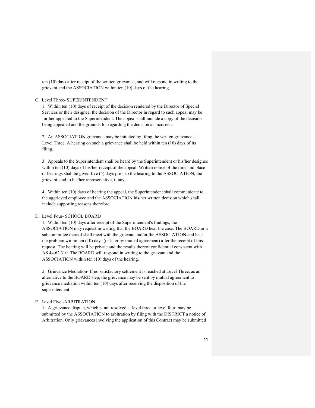ten (10) days after receipt of the written grievance, and will respond in writing to the grievant and the ASSOCIATION within ten (10) days of the hearing.

#### C. Level Three- SUPERINTENDENT

1. Within ten (10) days of receipt of the decision rendered by the Director of Special Services or their designee, the decision of the Director in regard to such appeal may be further appealed to the Superintendent. The appeal shall include a copy of the decision being appealed and the grounds for regarding the decision as incorrect.

2. An ASSOCIATION grievance may be initiated by filing the written grievance at Level Three. A hearing on such a grievance shall be held within ten (10) days of its filing.

3. Appeals to the Superintendent shall be heard by the Superintendent or his/her designee within ten (10) days of his/her receipt of the appeal. Written notice of the time and place of hearings shall be given five (5) days prior to the hearing to the ASSOCIATION, the grievant, and to his/her representative, if any.

4. Within ten (10) days of hearing the appeal, the Superintendent shall communicate to the aggrieved employee and the ASSOCIATION his/her written decision which shall include supporting reasons therefore.

#### D. Level Four- SCHOOL BOARD

1. Within ten (10) days after receipt of the Superintendent's findings, the ASSOCIATION may request in writing that the BOARD hear the case. The BOARD or a subcommittee thereof shall meet with the grievant and/or the ASSOCIATION and hear the problem within ten (10) days (or later by mutual agreement) after the receipt of this request. The hearing will be private and the results thereof confidential consistent with AS 44.62.310. The BOARD will respond in writing to the grievant and the ASSOCIATION within ten (10) days of the hearing.

2. Grievance Mediation- If no satisfactory settlement is reached at Level Three, as an alternative to the BOARD step, the grievance may be sent by mutual agreement to grievance mediation within ten (10) days after receiving the disposition of the superintendent.

#### E. Level Five -ARBITRATION

1. A grievance dispute, which is not resolved at level three or level four, may be submitted by the ASSOCIATION to arbitration by filing with the DISTRICT a notice of Arbitration. Only grievances involving the application of this Contract may be submitted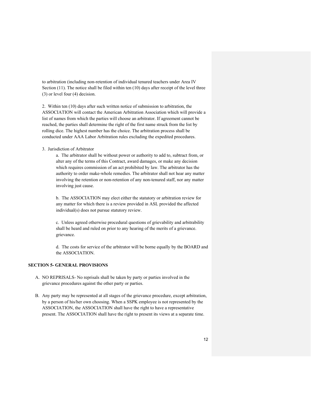to arbitration (including non-retention of individual tenured teachers under Area IV Section (11). The notice shall be filed within ten (10) days after receipt of the level three (3) or level four (4) decision.

2. Within ten (10) days after such written notice of submission to arbitration, the ASSOCIATION will contact the American Arbitration Association which will provide a list of names from which the parties will choose an arbitrator. If agreement cannot be reached, the parties shall determine the right of the first name struck from the list by rolling dice. The highest number has the choice. The arbitration process shall be conducted under AAA Labor Arbitration rules excluding the expedited procedures.

3. Jurisdiction of Arbitrator

a. The arbitrator shall be without power or authority to add to, subtract from, or alter any of the terms of this Contract, award damages, or make any decision which requires commission of an act prohibited by law. The arbitrator has the authority to order make-whole remedies. The arbitrator shall not hear any matter involving the retention or non-retention of any non-tenured staff, nor any matter involving just cause.

b. The ASSOCIATION may elect either the statutory or arbitration review for any matter for which there is a review provided in ASL provided the affected individual(s) does not pursue statutory review.

c. Unless agreed otherwise procedural questions of grievability and arbitrability shall be heard and ruled on prior to any hearing of the merits of a grievance. grievance.

d. The costs for service of the arbitrator will be borne equally by the BOARD and the ASSOCIATION.

#### **SECTION 5- GENERAL PROVISIONS**

- A. NO REPRISALS- No reprisals shall be taken by party or parties involved in the grievance procedures against the other party or parties.
- B. Any party may be represented at all stages of the grievance procedure, except arbitration, by a person of his/her own choosing. When a SSPK employee is not represented by the ASSOCIATION, the ASSOCIATION shall have the right to have a representative present. The ASSOCIATION shall have the right to present its views at a separate time.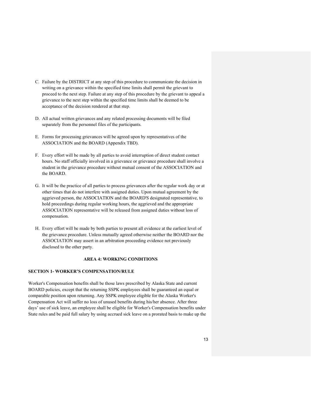- C. Failure by the DISTRICT at any step of this procedure to communicate the decision in writing on a grievance within the specified time limits shall permit the grievant to proceed to the next step. Failure at any step of this procedure by the grievant to appeal a grievance to the next step within the specified time limits shall be deemed to be acceptance of the decision rendered at that step.
- D. All actual written grievances and any related processing documents will be filed separately from the personnel files of the participants.
- E. Forms for processing grievances will be agreed upon by representatives of the ASSOCIATION and the BOARD (Appendix TBD).
- F. Every effort will be made by all parties to avoid interruption of direct student contact hours. No staff officially involved in a grievance or grievance procedure shall involve a student in the grievance procedure without mutual consent of the ASSOCIATION and the BOARD.
- G. It will be the practice of all parties to process grievances after the regular work day or at other times that do not interfere with assigned duties. Upon mutual agreement by the aggrieved person, the ASSOCIATION and the BOARD'S designated representative, to hold proceedings during regular working hours, the aggrieved and the appropriate ASSOCIATION representative will be released from assigned duties without loss of compensation.
- H. Every effort will be made by both parties to present all evidence at the earliest level of the grievance procedure. Unless mutually agreed otherwise neither the BOARD nor the ASSOCIATION may assert in an arbitration proceeding evidence not previously disclosed to the other party.

#### **AREA 4: WORKING CONDITIONS**

#### **SECTION 1- WORKER'S COMPENSATION/RULE**

Worker's Compensation benefits shall be those laws prescribed by Alaska State and current BOARD policies, except that the returning SSPK employees shall be guaranteed an equal or comparable position upon returning. Any SSPK employee eligible for the Alaska Worker's Compensation Act will suffer no loss of unused benefits during his/her absence. After three days' use of sick leave, an employee shall be eligible for Worker's Compensation benefits under State rules and be paid full salary by using accrued sick leave on a prorated basis to make up the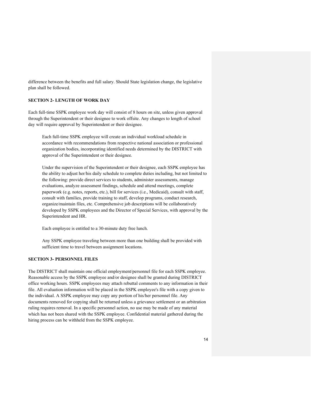difference between the benefits and full salary. Should State legislation change, the legislative plan shall be followed.

#### **SECTION 2- LENGTH OF WORK DAY**

Each full-time SSPK employee work day will consist of 8 hours on site, unless given approval through the Superintendent or their designee to work offsite. Any changes to length of school day will require approval by Superintendent or their designee.

Each full-time SSPK employee will create an individual workload schedule in accordance with recommendations from respective national association or professional organization bodies, incorporating identified needs determined by the DISTRICT with approval of the Superintendent or their designee.

Under the supervision of the Superintendent or their designee, each SSPK employee has the ability to adjust her/his daily schedule to complete duties including, but not limited to the following: provide direct services to students, administer assessments, manage evaluations, analyze assessment findings, schedule and attend meetings, complete paperwork (e.g. notes, reports, etc.), bill for services (i.e., Medicaid), consult with staff, consult with families, provide training to staff, develop programs, conduct research, organize/maintain files, etc. Comprehensive job descriptions will be collaboratively developed by SSPK employees and the Director of Special Services, with approval by the Superintendent and HR.

Each employee is entitled to a 30-minute duty free lunch.

Any SSPK employee traveling between more than one building shall be provided with sufficient time to travel between assignment locations.

#### **SECTION 3- PERSONNEL FILES**

The DISTRICT shall maintain one official employment/personnel file for each SSPK employee. Reasonable access by the SSPK employee and/or designee shall be granted during DISTRICT office working hours. SSPK employees may attach rebuttal comments to any information in their file. All evaluation information will be placed in the SSPK employee's file with a copy given to the individual. A SSPK employee may copy any portion of his/her personnel file. Any documents removed for copying shall be returned unless a grievance settlement or an arbitration ruling requires removal. In a specific personnel action, no use may be made of any material which has not been shared with the SSPK employee. Confidential material gathered during the hiring process can be withheld from the SSPK employee.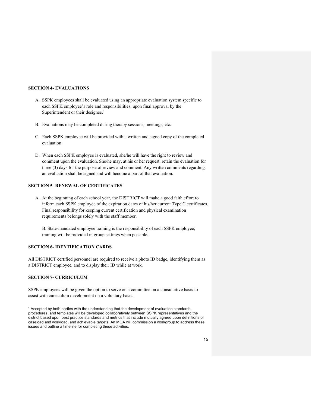#### **SECTION 4- EVALUATIONS**

- A. SSPK employees shall be evaluated using an appropriate evaluation system specific to each SSPK employee's role and responsibilities, upon final approval by the Superintendent or their designee.<sup>1</sup>
- B. Evaluations may be completed during therapy sessions, meetings, etc.
- C. Each SSPK employee will be provided with a written and signed copy of the completed evaluation.
- D. When each SSPK employee is evaluated, she/he will have the right to review and comment upon the evaluation. She/he may, at his or her request, retain the evaluation for three (3) days for the purpose of review and comment. Any written comments regarding an evaluation shall be signed and will become a part of that evaluation.

#### **SECTION 5- RENEWAL OF CERTIFICATES**

A. At the beginning of each school year, the DISTRICT will make a good faith effort to inform each SSPK employee of the expiration dates of his/her current Type C certificates. Final responsibility for keeping current certification and physical examination requirements belongs solely with the staff member.

B. State-mandated employee training is the responsibility of each SSPK employee; training will be provided in group settings when possible.

# **SECTION 6- IDENTIFICATION CARDS**

All DISTRICT certified personnel are required to receive a photo ID badge, identifying them as a DISTRICT employee, and to display their ID while at work.

#### **SECTION 7- CURRICULUM**

 $\overline{a}$ 

SSPK employees will be given the option to serve on a committee on a consultative basis to assist with curriculum development on a voluntary basis.

<sup>&</sup>lt;sup>1</sup> Accepted by both parties with the understanding that the development of evaluation standards, procedures, and templates will be developed collaboratively between SSPK representatives and the district based upon best practice standards and metrics that include mutually agreed upon definitions of caseload and workload, and achievable targets. An MOA will commission a workgroup to address these issues and outline a timeline for completing these activities.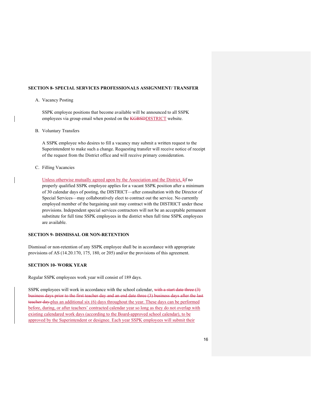#### **SECTION 8- SPECIAL SERVICES PROFESSIONALS ASSIGNMENT/ TRANSFER**

#### A. Vacancy Posting

SSPK employee positions that become available will be announced to all SSPK employees via group email when posted on the KGBSDDISTRICT website.

B. Voluntary Transfers

A SSPK employee who desires to fill a vacancy may submit a written request to the Superintendent to make such a change. Requesting transfer will receive notice of receipt of the request from the District office and will receive primary consideration.

C. Filling Vacancies

Unless otherwise mutually agreed upon by the Association and the District, Iif no properly qualified SSPK employee applies for a vacant SSPK position after a minimum of 30 calendar days of posting, the DISTRICT—after consultation with the Director of Special Services—may collaboratively elect to contract out the service. No currently employed member of the bargaining unit may contract with the DISTRICT under these provisions. Independent special services contractors will not be an acceptable permanent substitute for full time SSPK employees in the district when full time SSPK employees are available.

# **SECTION 9- DISMISSAL OR NON-RETENTION**

Dismissal or non-retention of any SSPK employee shall be in accordance with appropriate provisions of AS (14.20.170, 175, 180, or 205) and/or the provisions of this agreement.

#### **SECTION 10- WORK YEAR**

Regular SSPK employees work year will consist of 189 days.

SSPK employees will work in accordance with the school calendar, with a start date three (3) business days prior to the first teacher day and an end date three (3) business days after the last teacher day-plus an additional six (6) days throughout the year. These days can be performed before, during, or after teachers' contracted calendar year so long as they do not overlap with existing calendared work days (according to the Board-approved school calendar), to be approved by the Superintendent or designee. Each year SSPK employees will submit their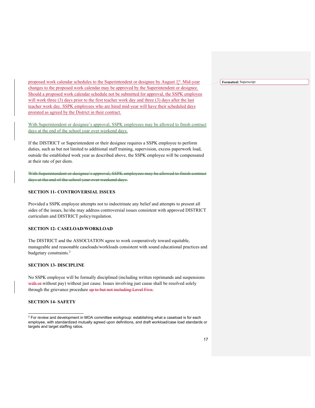proposed work calendar schedules to the Superintendent or designee by August 1st. Mid-year changes to the proposed work calendar may be approved by the Superintendent or designee. Should a proposed work calendar schedule not be submitted for approval, the SSPK employee will work three (3) days prior to the first teacher work day and three (3) days after the last teacher work day. SSPK employees who are hired mid-year will have their scheduled days prorated as agreed by the District in their contract.

With Superintendent or designee's approval, SSPK employees may be allowed to finish contract days at the end of the school year over weekend days.

If the DISTRICT or Superintendent or their designee requires a SSPK employee to perform duties, such as but not limited to additional staff training, supervision, excess paperwork load, outside the established work year as described above, the SSPK employee will be compensated at their rate of per diem.

With Superintendent or designee's approval, SSPK employees may be allowed to finish contract days at the end of the school year over weekend days.

#### **SECTION 11- CONTROVERSIAL ISSUES**

Provided a SSPK employee attempts not to indoctrinate any belief and attempts to present all sides of the issues, he/she may address controversial issues consistent with approved DISTRICT curriculum and DISTRICT policy/regulation.

#### **SECTION 12- CASELOAD/WORKLOAD**

The DISTRICT and the ASSOCIATION agree to work cooperatively toward equitable, manageable and reasonable caseloads/workloads consistent with sound educational practices and budgetary constraints.<sup>2</sup>

#### **SECTION 13- DISCIPLINE**

No SSPK employee will be formally disciplined (including written reprimands and suspensions with or without pay) without just cause. Issues involving just cause shall be resolved solely through the grievance procedure up to but not including Level Five.

#### **SECTION 14- SAFETY**

 $\overline{a}$ 

**Formatted:** Superscript

 $^2$  For review and development in MOA committee workgroup: establishing what a caseload is for each employee, with standardized mutually agreed upon definitions, and draft workload/case load standards or targets and target staffing ratios.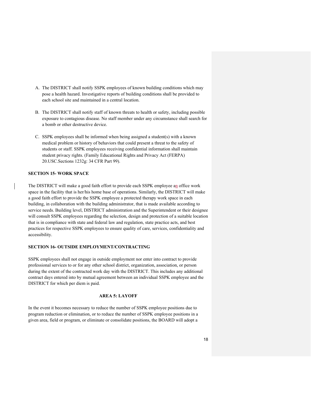- A. The DISTRICT shall notify SSPK employees of known building conditions which may pose a health hazard. Investigative reports of building conditions shall be provided to each school site and maintained in a central location.
- B. The DISTRICT shall notify staff of known threats to health or safety, including possible exposure to contagious disease. No staff member under any circumstance shall search for a bomb or other destructive device.
- C. SSPK employees shall be informed when being assigned a student(s) with a known medical problem or history of behaviors that could present a threat to the safety of students or staff. SSPK employees receiving confidential information shall maintain student privacy rights. (Family Educational Rights and Privacy Act (FERPA) 20.USC.Sections 1232g: 34 CFR Part 99).

#### **SECTION 15- WORK SPACE**

The DISTRICT will make a good faith effort to provide each SSPK employee an office work space in the facility that is her/his home base of operations. Similarly, the DISTRICT will make a good faith effort to provide the SSPK employee a protected therapy work space in each building, in collaboration with the building administrator, that is made available according to service needs. Building level, DISTRICT administration and the Superintendent or their designee will consult SSPK employees regarding the selection, design and protection of a suitable location that is in compliance with state and federal law and regulation, state practice acts, and best practices for respective SSPK employees to ensure quality of care, services, confidentiality and accessibility.

### **SECTION 16- OUTSIDE EMPLOYMENT/CONTRACTING**

SSPK employees shall not engage in outside employment nor enter into contract to provide professional services to or for any other school district, organization, association, or person during the extent of the contracted work day with the DISTRICT. This includes any additional contract days entered into by mutual agreement between an individual SSPK employee and the DISTRICT for which per diem is paid.

#### **AREA 5: LAYOFF**

In the event it becomes necessary to reduce the number of SSPK employee positions due to program reduction or elimination, or to reduce the number of SSPK employee positions in a given area, field or program, or eliminate or consolidate positions, the BOARD will adopt a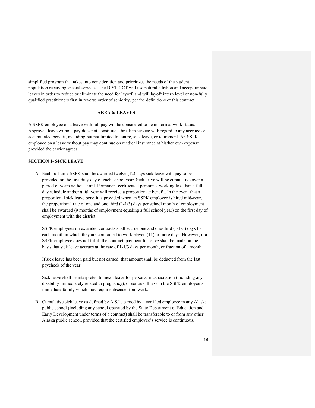simplified program that takes into consideration and prioritizes the needs of the student population receiving special services. The DISTRICT will use natural attrition and accept unpaid leaves in order to reduce or eliminate the need for layoff, and will layoff intern level or non-fully qualified practitioners first in reverse order of seniority, per the definitions of this contract.

#### **AREA 6: LEAVES**

A SSPK employee on a leave with full pay will be considered to be in normal work status. Approved leave without pay does not constitute a break in service with regard to any accrued or accumulated benefit, including but not limited to tenure, sick leave, or retirement. An SSPK employee on a leave without pay may continue on medical insurance at his/her own expense provided the carrier agrees.

# **SECTION 1- SICK LEAVE**

A. Each full-time SSPK shall be awarded twelve (12) days sick leave with pay to be provided on the first duty day of each school year. Sick leave will be cumulative over a period of years without limit. Permanent certificated personnel working less than a full day schedule and/or a full year will receive a proportionate benefit. In the event that a proportional sick leave benefit is provided when an SSPK employee is hired mid-year, the proportional rate of one and one third (1-1/3) days per school month of employment shall be awarded (9 months of employment equaling a full school year) on the first day of employment with the district.

SSPK employees on extended contracts shall accrue one and one-third (1-1/3) days for each month in which they are contracted to work eleven (11) or more days. However, if a SSPK employee does not fulfill the contract, payment for leave shall be made on the basis that sick leave accrues at the rate of 1-1/3 days per month, or fraction of a month.

If sick leave has been paid but not earned, that amount shall be deducted from the last paycheck of the year.

Sick leave shall be interpreted to mean leave for personal incapacitation (including any disability immediately related to pregnancy), or serious illness in the SSPK employee's immediate family which may require absence from work.

B. Cumulative sick leave as defined by A.S.L. earned by a certified employee in any Alaska public school (including any school operated by the State Department of Education and Early Development under terms of a contract) shall be transferable to or from any other Alaska public school, provided that the certified employee's service is continuous.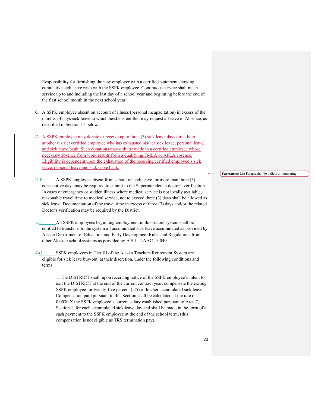Responsibility for furnishing the new employer with a certified statement showing cumulative sick leave rests with the SSPK employee. Continuous service shall mean service up to and including the last day of a school year and beginning before the end of the first school month in the next school year.

- C. A SSPK employee absent on account of illness (personal incapacitation) in excess of the number of days sick leave to which he/she is entitled may request a Leave of Absence, as described in Section 11 below.
- D. A SSPK employee may donate or receive up to three (3) sick leave days directly to another district certified employee who has exhausted his/her sick leave, personal leave, and sick leave bank. Such donations may only be made to a certified employee whose necessary absence from work results from a qualifying FMLA or AFLA absence. Eligibility is dependent upon the exhaustion of the receiving certified employee's sick leave, personal leave and sick leave bank.
- D.E. A SSPK employee absent from school on sick leave for more than three (3) consecutive days may be required to submit to the Superintendent a doctor's verification. In cases of emergency or sudden illness where medical service is not locally available, reasonable travel time to medical service, not to exceed three (3) days shall be allowed as sick leave. Documentation of the travel time in excess of three (3) days and/or the related Doctor's verification may be required by the District.
- E.F. All SSPK employees beginning employment in this school system shall be entitled to transfer into the system all accumulated sick leave accumulated as provided by Alaska Department of Education and Early Development Rules and Regulations from other Alaskan school systems as provided by A.S.L. 4 AAC 15.040.
- F.G. SSPK employees in Tier III of the Alaska Teachers Retirement System are eligible for sick leave buy-out, at their discretion, under the following conditions and terms:

1. The DISTRICT shall, upon receiving notice of the SSPK employee's intent to exit the DISTRICT at the end of the current contract year, compensate the exiting SSPK employee for twenty-five percent (.25) of his/her accumulated sick leave. Compensation paid pursuant to this Section shall be calculated at the rate of 0.0030 X the SSPK employee's current salary established pursuant to Area 7, Section 1, for each accumulated sick leave day and shall be made in the form of a cash payment to the SSPK employee at the end of the school term; (this compensation is not eligible as TRS termination pay).

**Formatted:** List Paragraph, No bullets or numbering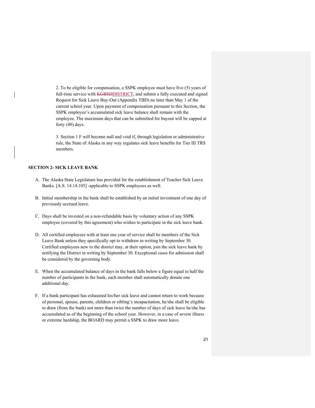2. To be eligible for compensation, a SSPK employee must have five (5) years of full-time service with **KGBSDDISTRICT**, and submit a fully executed and signed Request for Sick Leave Buy-Out (Appendix TBD) no later than May 1 of the current school year. Upon payment of compensation pursuant to this Section, the SSPK employee's accumulated sick leave balance shall remain with the employee. The maximum days that can be submitted for buyout will be capped at forty (40) days.

3. Section 1 F will become null and void if, through legislation or administrative rule, the State of Alaska in any way regulates sick leave benefits for Tier III TRS members.

# **SECTION 2- SICK LEAVE BANK**

- A. The Alaska State Legislature has provided for the establishment of Teacher Sick Leave Banks. [A.S. 14.14.105] -applicable to SSPK employees as well.
- B. Initial membership in the bank shall be established by an initial investment of one day of previously accrued leave.
- C. Days shall be invested on a non-refundable basis by voluntary action of any SSPK employee (covered by this agreement) who wishes to participate in the sick leave bank.
- D. All certified employees with at least one year of service shall be members of the Sick Leave Bank unless they specifically opt to withdraw in writing by September 30. Certified employees new to the district may, at their option, join the sick leave bank by notifying the District in writing by September 30. Exceptional cases for admission shall be considered by the governing body.
- E. When the accumulated balance of days in the bank falls below a figure equal to half the number of participants in the bank, each member shall automatically donate one additional day.
- F. If a bank participant has exhausted his/her sick leave and cannot return to work because of personal, spouse, parents, children or sibling's incapacitation, he/she shall be eligible to draw (from the bank) not more than twice the number of days of sick leave he/she has accumulated as of the beginning of the school year. However, in a case of severe illness or extreme hardship, the BOARD may permit a SSPK to draw more leave.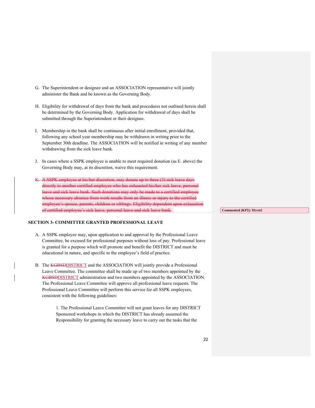- G. The Superintendent or designee and an ASSOCIATION representative will jointly administer the Bank and be known as the Governing Body.
- H. Eligibility for withdrawal of days from the bank and procedures not outlined herein shall be determined by the Governing Body. Application for withdrawal of days shall be submitted through the Superintendent or their designee.
- I. Membership in the bank shall be continuous after initial enrollment, provided that, following any school year membership may be withdrawn in writing prior to the September 30th deadline. The ASSOCIATION will be notified in writing of any member withdrawing from the sick leave bank.
- J. In cases where a SSPK employee is unable to meet required donation (as E. above) the Governing Body may, at its discretion, waive this requirement.
- K. A SSPK employee at his/her discretion, may donate up to three (3) sick leave days directly to another certified employee who has exhausted his/her sick leave, personal leave and sick leave bank. Such donations may only be made to a certified employee whose necessary absence from work results from an illness or injury to the certified employee's spouse, parents, children or siblings. Eligibility dependent upon d employee's sick leave, p

#### **SECTION 3- COMMITTEE GRANTED PROFESSIONAL LEAVE**

- A. A SSPK employee may, upon application to and approval by the Professional Leave Committee, be excused for professional purposes without loss of pay. Professional leave is granted for a purpose which will promote and benefit the DISTRICT and must be educational in nature, and specific to the employee's field of practice.
- B. The KGBSDDISTRICT and the ASSOCIATION will jointly provide a Professional Leave Committee. The committee shall be made up of two members appointed by the KGBSDDISTRICT administration and two members appointed by the ASSOCIATION. The Professional Leave Committee will approve all professional leave requests. The Professional Leave Committee will perform this service for all SSPK employees, consistent with the following guidelines:

1. The Professional Leave Committee will not grant leaves for any DISTRICT Sponsored workshops in which the DISTRICT has already assumed the Responsibility for granting the necessary leave to carry out the tasks that the

**Commented [KP2]:** Moved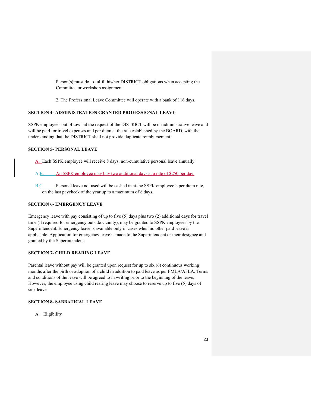Person(s) must do to fulfill his/her DISTRICT obligations when accepting the Committee or workshop assignment.

2. The Professional Leave Committee will operate with a bank of 116 days.

# **SECTION 4- ADMINISTRATION GRANTED PROFESSIONAL LEAVE**

SSPK employees out of town at the request of the DISTRICT will be on administrative leave and will be paid for travel expenses and per diem at the rate established by the BOARD, with the understanding that the DISTRICT shall not provide duplicate reimbursement.

#### **SECTION 5- PERSONAL LEAVE**

A. Each SSPK employee will receive 8 days, non-cumulative personal leave annually.

A.B. An SSPK employee may buy two additional days at a rate of \$250 per day.

B.C. Personal leave not used will be cashed in at the SSPK employee's per diem rate, on the last paycheck of the year up to a maximum of 8 days.

# **SECTION 6- EMERGENCY LEAVE**

Emergency leave with pay consisting of up to five (5) days plus two (2) additional days for travel time (if required for emergency outside vicinity), may be granted to SSPK employees by the Superintendent. Emergency leave is available only in cases when no other paid leave is applicable. Application for emergency leave is made to the Superintendent or their designee and granted by the Superintendent.

#### **SECTION 7- CHILD REARING LEAVE**

Parental leave without pay will be granted upon request for up to six (6) continuous working months after the birth or adoption of a child in addition to paid leave as per FMLA/AFLA. Terms and conditions of the leave will be agreed to in writing prior to the beginning of the leave. However, the employee using child rearing leave may choose to reserve up to five (5) days of sick leave.

#### **SECTION 8- SABBATICAL LEAVE**

A. Eligibility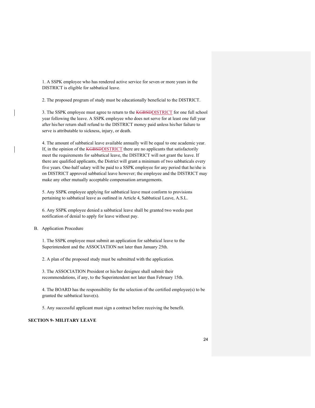1. A SSPK employee who has rendered active service for seven or more years in the DISTRICT is eligible for sabbatical leave.

2. The proposed program of study must be educationally beneficial to the DISTRICT.

3. The SSPK employee must agree to return to the **KGBSDDISTRICT** for one full school year following the leave. A SSPK employee who does not serve for at least one full year after his/her return shall refund to the DISTRICT money paid unless his/her failure to serve is attributable to sickness, injury, or death.

4. The amount of sabbatical leave available annually will be equal to one academic year. If, in the opinion of the **KGBSDDISTRICT** there are no applicants that satisfactorily meet the requirements for sabbatical leave, the DISTRICT will not grant the leave. If there are qualified applicants, the District will grant a minimum of two sabbaticals every five years. One-half salary will be paid to a SSPK employee for any period that he/she is on DISTRICT approved sabbatical leave however; the employee and the DISTRICT may make any other mutually acceptable compensation arrangements.

5. Any SSPK employee applying for sabbatical leave must conform to provisions pertaining to sabbatical leave as outlined in Article 4, Sabbatical Leave, A.S.L.

6. Any SSPK employee denied a sabbatical leave shall be granted two weeks past notification of denial to apply for leave without pay.

#### B. Application Procedure

1. The SSPK employee must submit an application for sabbatical leave to the Superintendent and the ASSOCIATION not later than January 25th.

2. A plan of the proposed study must be submitted with the application.

3. The ASSOCIATION President or his/her designee shall submit their recommendations, if any, to the Superintendent not later than February 15th.

4. The BOARD has the responsibility for the selection of the certified employee(s) to be granted the sabbatical leave(s).

5. Any successful applicant must sign a contract before receiving the benefit.

# **SECTION 9- MILITARY LEAVE**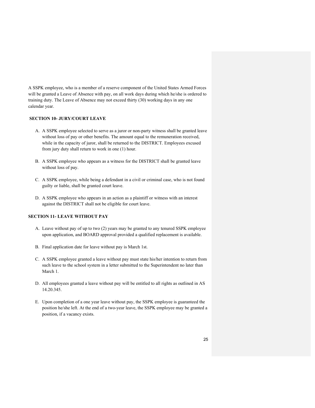A SSPK employee, who is a member of a reserve component of the United States Armed Forces will be granted a Leave of Absence with pay, on all work days during which he/she is ordered to training duty. The Leave of Absence may not exceed thirty (30) working days in any one calendar year.

# **SECTION 10- JURY/COURT LEAVE**

- A. A SSPK employee selected to serve as a juror or non-party witness shall be granted leave without loss of pay or other benefits. The amount equal to the remuneration received, while in the capacity of juror, shall be returned to the DISTRICT. Employees excused from jury duty shall return to work in one (1) hour.
- B. A SSPK employee who appears as a witness for the DISTRICT shall be granted leave without loss of pay.
- C. A SSPK employee, while being a defendant in a civil or criminal case, who is not found guilty or liable, shall be granted court leave.
- D. A SSPK employee who appears in an action as a plaintiff or witness with an interest against the DISTRICT shall not be eligible for court leave.

#### **SECTION 11- LEAVE WITHOUT PAY**

- A. Leave without pay of up to two (2) years may be granted to any tenured SSPK employee upon application, and BOARD approval provided a qualified replacement is available.
- B. Final application date for leave without pay is March 1st.
- C. A SSPK employee granted a leave without pay must state his/her intention to return from such leave to the school system in a letter submitted to the Superintendent no later than March 1.
- D. All employees granted a leave without pay will be entitled to all rights as outlined in AS 14.20.345.
- E. Upon completion of a one year leave without pay, the SSPK employee is guaranteed the position he/she left. At the end of a two-year leave, the SSPK employee may be granted a position, if a vacancy exists.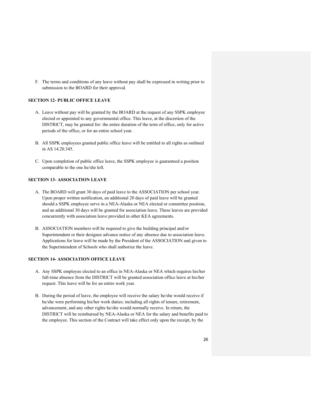F. The terms and conditions of any leave without pay shall be expressed in writing prior to submission to the BOARD for their approval.

#### **SECTION 12- PUBLIC OFFICE LEAVE**

- A. Leave without pay will be granted by the BOARD at the request of any SSPK employee elected or appointed to any governmental office. This leave, at the discretion of the DISTRICT, may be granted for: the entire duration of the term of office, only for active periods of the office, or for an entire school year.
- B. All SSPK employees granted public office leave will be entitled to all rights as outlined in AS 14.20.345.
- C. Upon completion of public office leave, the SSPK employee is guaranteed a position comparable to the one he/she left.

#### **SECTION 13- ASSOCIATION LEAVE**

- A. The BOARD will grant 30 days of paid leave to the ASSOCIATION per school year. Upon proper written notification, an additional 20 days of paid leave will be granted should a SSPK employee serve in a NEA-Alaska or NEA elected or committee position, and an additional 30 days will be granted for association leave. These leaves are provided concurrently with association leave provided in other KEA agreements.
- B. ASSOCIATION members will be required to give the building principal and/or Superintendent or their designee advance notice of any absence due to association leave. Applications for leave will be made by the President of the ASSOCIATION and given to the Superintendent of Schools who shall authorize the leave.

#### **SECTION 14- ASSOCIATION OFFICE LEAVE**

- A. Any SSPK employee elected to an office in NEA-Alaska or NEA which requires his/her full-time absence from the DISTRICT will be granted association office leave at his/her request. This leave will be for an entire work year.
- B. During the period of leave, the employee will receive the salary he/she would receive if he/she were performing his/her work duties; including all rights of tenure, retirement, advancement, and any other rights he/she would normally receive. In return, the DISTRICT will be reimbursed by NEA-Alaska or NEA for the salary and benefits paid to the employee. This section of the Contract will take effect only upon the receipt, by the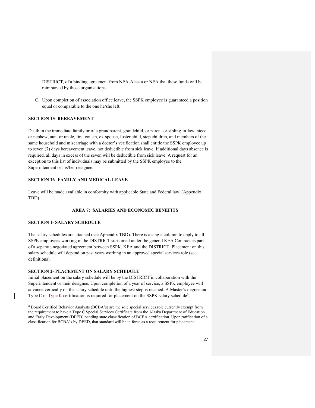DISTRICT, of a binding agreement from NEA-Alaska or NEA that these funds will be reimbursed by those organizations.

C. Upon completion of association office leave, the SSPK employee is guaranteed a position equal or comparable to the one he/she left.

# **SECTION 15- BEREAVEMENT**

Death in the immediate family or of a grandparent, grandchild, or parent-or sibling-in-law, niece or nephew, aunt or uncle, first cousin, ex-spouse, foster child, step children, and members of the same household and miscarriage with a doctor's verification shall entitle the SSPK employee up to seven (7) days bereavement leave, not deductible from sick leave. If additional days absence is required, all days in excess of the seven will be deductible from sick leave. A request for an exception to this list of individuals may be submitted by the SSPK employee to the Superintendent or his/her designee.

#### **SECTION 16- FAMILY AND MEDICAL LEAVE**

Leave will be made available in conformity with applicable State and Federal law. (Appendix TBD)

# **AREA 7: SALARIES AND ECONOMIC BENEFITS**

#### **SECTION 1- SALARY SCHEDULE**

 $\overline{a}$ 

The salary schedules are attached (see Appendix TBD). There is a single column to apply to all SSPK employees working in the DISTRICT subsumed under the general KEA Contract as part of a separate negotiated agreement between SSPK, KEA and the DISTRICT. Placement on this salary schedule will depend on past years working in an approved special services role (see definitions).

#### **SECTION 2- PLACEMENT ON SALARY SCHEDULE**

Initial placement on the salary schedule will be by the DISTRICT in collaboration with the Superintendent or their designee. Upon completion of a year of service, a SSPK employee will advance vertically on the salary schedule until the highest step is reached. A Master's degree and Type C or Type K certification is required for placement on the SSPK salary schedule<sup>3</sup>.

<sup>&</sup>lt;sup>3</sup> Board Certified Behavior Analysts (BCBA's) are the sole special services role currently exempt from the requirement to have a Type C Special Services Certificate from the Alaska Department of Education and Early Development (DEED) pending state classification of BCBA certification. Upon ratification of a classification for BCBA's by DEED, that standard will be in force as a requirement for placement.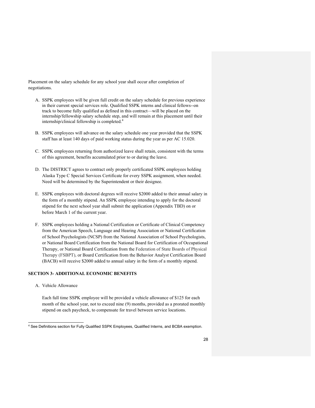Placement on the salary schedule for any school year shall occur after completion of negotiations.

- A. SSPK employees will be given full credit on the salary schedule for previous experience in their current special services role. Qualified SSPK interns and clinical fellows--on track to become fully qualified as defined in this contract—will be placed on the internship/fellowship salary schedule step, and will remain at this placement until their internship/clinical fellowship is completed.4
- B. SSPK employees will advance on the salary schedule one year provided that the SSPK staff has at least 140 days of paid working status during the year as per AC 15.020.
- C. SSPK employees returning from authorized leave shall retain, consistent with the terms of this agreement, benefits accumulated prior to or during the leave.
- D. The DISTRICT agrees to contract only properly certificated SSPK employees holding Alaska Type C Special Services Certificate for every SSPK assignment, when needed. Need will be determined by the Superintendent or their designee.
- E. SSPK employees with doctoral degrees will receive \$2000 added to their annual salary in the form of a monthly stipend. An SSPK employee intending to apply for the doctoral stipend for the next school year shall submit the application (Appendix TBD) on or before March 1 of the current year.
- F. SSPK employees holding a National Certification or Certificate of Clinical Competency from the American Speech, Language and Hearing Association or National Certification of School Psychologists (NCSP) from the National Association of School Psychologists, or National Board Certification from the National Board for Certification of Occupational Therapy, or National Board Certification from the Federation of State Boards of Physical Therapy (FSBPT), or Board Certification from the Behavior Analyst Certification Board (BACB) will receive \$2000 added to annual salary in the form of a monthly stipend.

#### **SECTION 3- ADDITIONAL ECONOMIC BENEFITS**

A. Vehicle Allowance

l

Each full time SSPK employee will be provided a vehicle allowance of \$125 for each month of the school year, not to exceed nine (9) months, provided as a prorated monthly stipend on each paycheck, to compensate for travel between service locations.

<sup>4</sup> See Definitions section for Fully Qualified SSPK Employees, Qualified Interns, and BCBA exemption.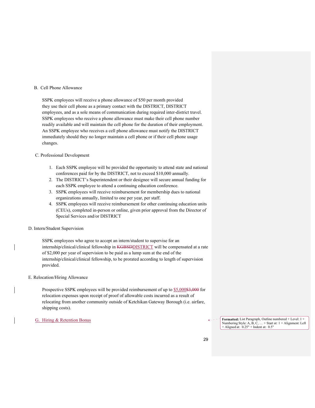#### B. Cell Phone Allowance

SSPK employees will receive a phone allowance of \$50 per month provided they use their cell phone as a primary contact with the DISTRICT, DISTRICT employees, and as a sole means of communication during required inter-district travel. SSPK employees who receive a phone allowance must make their cell phone number readily available and will maintain the cell phone for the duration of their employment. An SSPK employee who receives a cell phone allowance must notify the DISTRICT immediately should they no longer maintain a cell phone or if their cell phone usage changes.

#### C. Professional Development

- 1. Each SSPK employee will be provided the opportunity to attend state and national conferences paid for by the DISTRICT, not to exceed \$10,000 annually.
- 2. The DISTRICT's Superintendent or their designee will secure annual funding for each SSPK employee to attend a continuing education conference.
- 3. SSPK employees will receive reimbursement for membership dues to national organizations annually, limited to one per year, per staff.
- 4. SSPK employees will receive reimbursement for other continuing education units (CEUs), completed in-person or online, given prior approval from the Director of Special Services and/or DISTRICT

#### D. Intern/Student Supervision

SSPK employees who agree to accept an intern/student to supervise for an internship/clinical/clinical fellowship in KGBSDDISTRICT will be compensated at a rate of \$2,000 per year of supervision to be paid as a lump sum at the end of the internship/clinical/clinical fellowship, to be prorated according to length of supervision provided.

#### E. Relocation/Hiring Allowance

Prospective SSPK employees will be provided reimbursement of up to \$5,000\$3,000 for relocation expenses upon receipt of proof of allowable costs incurred as a result of relocating from another community outside of Ketchikan Gateway Borough (i.e. airfare, shipping costs).

G. Hiring & Retention Bonus **Formatted:** List Paragraph, Outline numbered + Level: 1 + Numbering Style: A, B, C, … + Start at: 1 + Alignment: Left + Aligned at: 0.25" + Indent at: 0.5"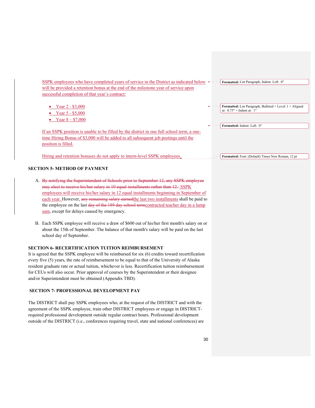SSPK employees who have completed years of service in the District as indicated below  $\leftarrow -$  Formatted: List Paragraph, Indent: Left: 0" will be provided a retention bonus at the end of the milestone year of service upon successful completion of that year's contract:

- Year  $2 $3,000$
- Year 5 \$5,000
- Year 8 \$7,000

If an SSPK position is unable to be filled by the district in one full school term, a onetime Hiring Bonus of \$3,000 will be added to all subsequent job postings until the position is filled.

Hiring and retention bonuses do not apply to intern-level SSPK employees.

#### **SECTION 5- METHOD OF PAYMENT**

- A. By notifying the Superintendent of Schools prior to September 12, any SSPK employee may elect to receive his/her salary in 10 equal installments rather than 12. SSPK employees will receive his/her salary in 12 equal installments beginning in September of each year. However, any remaining salary earnedthe last two installments shall be paid to the employee on the last day of the 189 day school term contracted teacher day in a lump sum, except for delays caused by emergency.
- B. Each SSPK employee will receive a draw of \$600 out of his/her first month's salary on or about the 15th of September. The balance of that month's salary will be paid on the last school day of September.

#### **SECTION 6- RECERTIFICATION TUITION REIMBURSEMENT**

It is agreed that the SSPK employee will be reimbursed for six (6) credits toward recertification every five (5) years, the rate of reimbursement to be equal to that of the University of Alaska resident graduate rate or actual tuition, whichever is less. Recertification tuition reimbursement for CEUs will also occur. Prior approval of courses by the Superintendent or their designee and/or Superintendent must be obtained (Appendix TBD).

#### **SECTION 7- PROFESSIONAL DEVELOPMENT PAY**

The DISTRICT shall pay SSPK employees who, at the request of the DISTRICT and with the agreement of the SSPK employee, train other DISTRICT employees or engage in DISTRICTrequired professional development outside regular contract hours. Professional development outside of the DISTRICT (i.e., conferences requiring travel, state and national conferences) are

- **Formatted:** List Paragraph, Bulleted + Level: 1 + Aligned at:  $0.75"$  + Indent at:  $1"$
- **Formatted:** Indent: Left: 0"

**Formatted:** Font: (Default) Times New Roman, 12 pt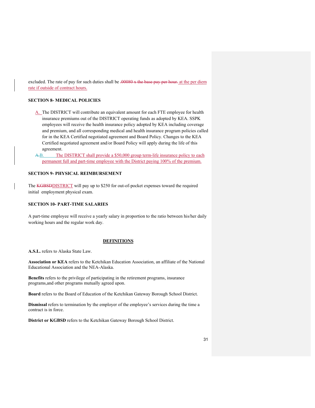excluded. The rate of pay for such duties shall be .00080 x the base pay per hour. at the per diem rate if outside of contract hours.

#### **SECTION 8- MEDICAL POLICIES**

- A. The DISTRICT will contribute an equivalent amount for each FTE employee for health insurance premiums out of the DISTRICT operating funds as adopted by KEA. SSPK employees will receive the health insurance policy adopted by KEA including coverage and premium, and all corresponding medical and health insurance program policies called for in the KEA Certified negotiated agreement and Board Policy. Changes to the KEA Certified negotiated agreement and/or Board Policy will apply during the life of this agreement.
- A.B. The DISTRICT shall provide a \$50,000 group term-life insurance policy to each permanent full and part-time employee with the District paying 100% of the premium.

### **SECTION 9- PHYSICAL REIMBURSEMENT**

The KGBSDDISTRICT will pay up to \$250 for out-of-pocket expenses toward the required initial employment physical exam.

#### **SECTION 10- PART-TIME SALARIES**

A part-time employee will receive a yearly salary in proportion to the ratio between his/her daily working hours and the regular work day.

#### **DEFINITIONS**

**A.S.L.** refers to Alaska State Law.

**Association or KEA** refers to the Ketchikan Education Association, an affiliate of the National Educational Association and the NEA-Alaska.

**Benefits** refers to the privilege of participating in the retirement programs, insurance programs,and other programs mutually agreed upon.

**Board** refers to the Board of Education of the Ketchikan Gateway Borough School District.

**Dismissal** refers to termination by the employer of the employee's services during the time a contract is in force.

**District or KGBSD** refers to the Ketchikan Gateway Borough School District.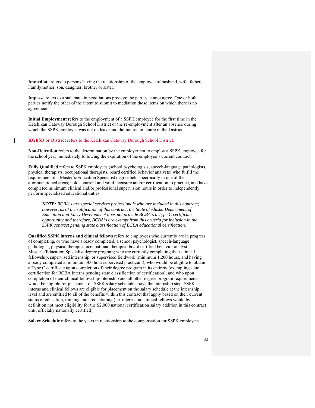**Immediate** refers to persons having the relationship of the employee of husband, wife, father, Familymother, son, daughter, brother or sister.

**Impasse** refers to a stalemate in negotiations process; the parties cannot agree. One or both parties notify the other of the intent to submit to mediation those items on which there is no agreement.

**Initial Employment** refers to the employment of a SSPK employee for the first time in the Ketchikan Gateway Borough School District or the re-employment after an absence during which the SSPK employee was not on leave and did not retain tenure in the District.

**KGBSD or District** refers to the Ketchikan Gateway Borough School District.

**Non-Retention** refers to the determination by the employer not to employ a SSPK employee for the school year immediately following the expiration of the employee's current contract.

**Fully Qualified** refers to SSPK employees (school psychologists, speech-language pathologists, physical therapists, occupational therapists, board certified behavior analysts) who fulfill the requirement of a Master's/Education Specialist degree held specifically in one of the aforementioned areas; hold a current and valid licensure and/or certification to practice, and have completed minimum clinical and/or professional supervision hours in order to independently perform specialized educational duties.

*NOTE: BCBA's are special services professionals who are included in this contract; however, as of the ratification of this contract, the State of Alaska Department of Education and Early Development does not provide BCBA's a Type C certificate opportunity and therefore, BCBA's are exempt from this criteria for inclusion in the SSPK contract pending state classification of BCBA educational certification.*

**Qualified SSPK interns and clinical fellows** refers to employees who currently are in progress of completing, or who have already completed, a school psychologist, speech-language pathologist, physical therapist, occupational therapist, board certified behavior analyst Master's/Education Specialist degree program; who are currently completing their clinical fellowship, supervised internship, or supervised fieldwork (minimum 1,200 hours, and having already completed a minimum 300 hour supervised practicum); who would be eligible to obtain a Type C certificate upon completion of their degree program in its entirety (exempting state certification for BCBA interns pending state classification of certification); and who upon completion of their clinical fellowship/internship and all other degree program requirements would be eligible for placement on SSPK salary schedule above the internship step. SSPK interns and clinical fellows are eligible for placement on the salary schedule at the internship level and are entitled to all of the benefits within this contract that apply based on their current status of education, training and credentialing (i.e. interns and clinical fellows would by definition not meet eligibility for the \$2,000 national certification salary addition in this contract until officially nationally certified).

**Salary Schedule** refers to the years in relationship to the compensation for SSPK employees.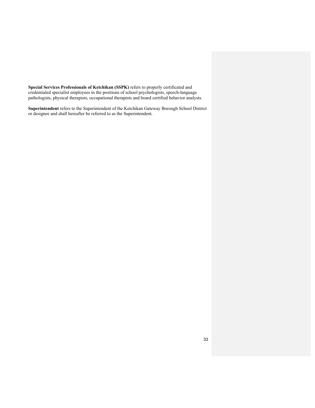**Special Services Professionals of Ketchikan (SSPK)** refers to properly certificated and credentialed specialist employees in the positions of school psychologists, speech-language pathologists, physical therapists, occupational therapists and board certified behavior analysts.

**Superintendent** refers to the Superintendent of the Ketchikan Gateway Borough School District or designee and shall hereafter be referred to as the Superintendent.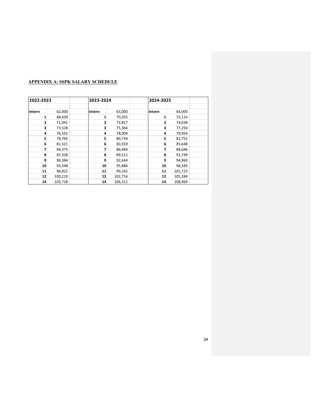# **APPENDIX A: SSPK SALARY SCHEDULE**

| 2022-2023 |         |        | 2023-2024 |         | 2024-2025 |         |  |
|-----------|---------|--------|-----------|---------|-----------|---------|--|
|           |         |        |           |         |           |         |  |
| Intern    | 62,000  | Intern |           | 63,000  | lintern   | 64,000  |  |
| 1         | 68,639  |        | 1         | 70,355  | 1         | 72,114  |  |
| 2         | 71,041  |        | 2         | 72,817  | 2         | 74,638  |  |
| 3         | 73,528  |        | 3         | 75,366  | 3         | 77,250  |  |
| 4         | 76,101  |        | 4         | 78,004  | 4         | 79,954  |  |
| 5         | 78,765  |        | 5         | 80,734  | 5         | 82,752  |  |
| 6         | 81,521  |        | 6         | 83,559  | 6         | 85,648  |  |
|           | 84,375  |        | 7         | 86,484  |           | 88,646  |  |
| 8         | 87,328  |        | 8         | 89,511  | 8         | 91,749  |  |
| 9         | 90,384  |        | 9         | 92,644  | 9         | 94,960  |  |
| 10        | 93,548  |        | 10        | 95,886  | 10        | 98,283  |  |
| 11        | 96,822  |        | 11        | 99,242  | 11        | 101,723 |  |
| 12        | 100,210 |        | 12        | 102,716 | 12        | 105,284 |  |
| 14        | 103,718 |        | 14        | 106,311 | 14        | 108,969 |  |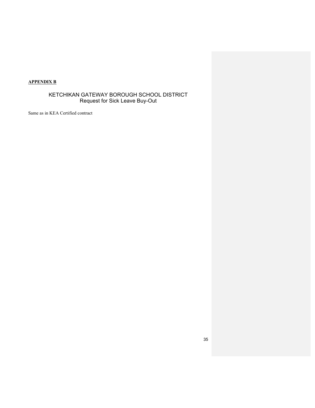# **APPENDIX B**

# KETCHIKAN GATEWAY BOROUGH SCHOOL DISTRICT Request for Sick Leave Buy-Out

Same as in KEA Certified contract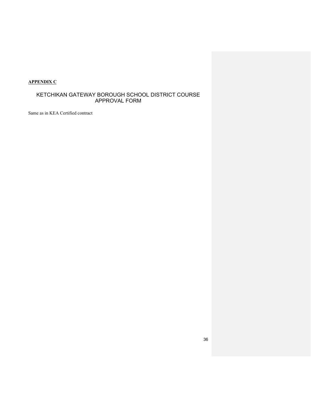# **APPENDIX C**

# KETCHIKAN GATEWAY BOROUGH SCHOOL DISTRICT COURSE APPROVAL FORM

Same as in KEA Certified contract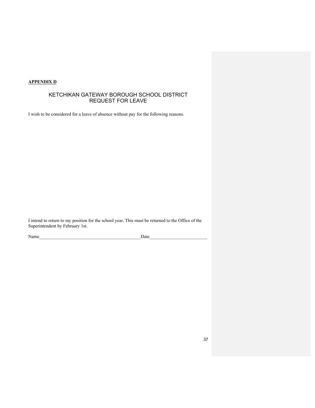# **APPENDIX D**

# KETCHIKAN GATEWAY BOROUGH SCHOOL DISTRICT REQUEST FOR LEAVE

I wish to be considered for a leave of absence without pay for the following reasons.

I intend to return to my position for the school year. This must be returned to the Office of the Superintendent by February 1st.

Name and the set of the set of the set of the set of the Santa Contract of the Santa Contract of the Santa Contract of the Santa Contract of the Santa Contract of the Santa Contract of the Santa Contract of the Santa Contr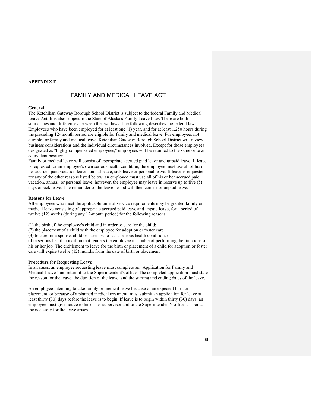#### **APPENDIX E**

# FAMILY AND MEDICAL LEAVE ACT

#### **General**

The Ketchikan Gateway Borough School District is subject to the federal Family and Medical Leave Act. It is also subject to the State of Alaska's Family Leave Law. There are both similarities and differences between the two laws. The following describes the federal law. Employees who have been employed for at least one (1) year, and for at least 1,250 hours during the preceding 12- month period are eligible for family and medical leave. For employees not eligible for family and medical leave, Ketchikan Gateway Borough School District will review business considerations and the individual circumstances involved. Except for those employees designated as "highly compensated employees," employees will be returned to the same or to an equivalent position.

Family or medical leave will consist of appropriate accrued paid leave and unpaid leave. If leave is requested for an employee's own serious health condition, the employee must use all of his or her accrued paid vacation leave, annual leave, sick leave or personal leave. If leave is requested for any of the other reasons listed below, an employee must use all of his or her accrued paid vacation, annual, or personal leave; however, the employee may leave in reserve up to five (5) days of sick leave. The remainder of the leave period will then consist of unpaid leave.

#### **Reasons for Leave**

All employees who meet the applicable time of service requirements may be granted family or medical leave consisting of appropriate accrued paid leave and unpaid leave, for a period of twelve (12) weeks (during any 12-month period) for the following reasons:

(1) the birth of the employee's child and in order to care for the child;

(2) the placement of a child with the employee for adoption or foster care

(3) to care for a spouse, child or parent who has a serious health condition; or

(4) a serious health condition that renders the employee incapable of performing the functions of his or her job. The entitlement to leave for the birth or placement of a child for adoption or foster care will expire twelve (12) months from the date of birth or placement.

#### **Procedure for Requesting Leave**

In all cases, an employee requesting leave must complete an "Application for Family and Medical Leave" and return it to the Superintendent's office. The completed application must state the reason for the leave, the duration of the leave, and the starting and ending dates of the leave.

An employee intending to take family or medical leave because of an expected birth or placement, or because of a planned medical treatment, must submit an application for leave at least thirty (30) days before the leave is to begin. If leave is to begin within thirty (30) days, an employee must give notice to his or her supervisor and to the Superintendent's office as soon as the necessity for the leave arises.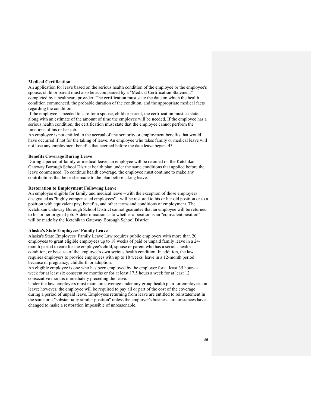#### **Medical Certification**

An application for leave based on the serious health condition of the employee or the employee's spouse, child or parent must also be accompanied by a "Medical Certification Statement" completed by a healthcare provider. The certification must state the date on which the health condition commenced, the probable duration of the condition, and the appropriate medical facts regarding the condition.

If the employee is needed to care for a spouse, child or parent, the certification must so state, along with an estimate of the amount of time the employee will be needed. If the employee has a serious health condition, the certification must state that the employee cannot perform the functions of his or her job.

An employee is not entitled to the accrual of any seniority or employment benefits that would have occurred if not for the taking of leave. An employee who takes family or medical leave will not lose any employment benefits that accrued before the date leave began. 43

#### **Benefits Coverage During Leave**

During a period of family or medical leave, an employee will be retained on the Ketchikan Gateway Borough School District health plan under the same conditions that applied before the leave commenced. To continue health coverage, the employee must continue to make any contributions that he or she made to the plan before taking leave.

#### **Restoration to Employment Following Leave**

An employee eligible for family and medical leave --with the exception of those employees designated as "highly compensated employees" --will be restored to his or her old position or to a position with equivalent pay, benefits, and other terms and conditions of employment. The Ketchikan Gateway Borough School District cannot guarantee that an employee will be returned to his or her original job. A determination as to whether a position is an "equivalent position" will be made by the Ketchikan Gateway Borough School District.

#### **Alaska's State Employees' Family Leave**

Alaska's State Employees' Family Leave Law requires public employers with more than 20 employees to grant eligible employees up to 18 weeks of paid or unpaid family leave in a 24 month period to care for the employee's child, spouse or parent who has a serious health condition, or because of the employee's own serious health condition. In addition, the law requires employers to provide employees with up to 18 weeks' leave in a 12-month period because of pregnancy, childbirth or adoption.

An eligible employee is one who has been employed by the employer for at least 35 hours a week for at least six consecutive months or for at least 17.5 hours a week for at least 12 consecutive months immediately preceding the leave.

Under the law, employers must maintain coverage under any group health plan for employees on leave; however, the employee will be required to pay all or part of the cost of the coverage during a period of unpaid leave. Employees returning from leave are entitled to reinstatement in the same or a "substantially similar position" unless the employer's business circumstances have changed to make a restoration impossible of unreasonable.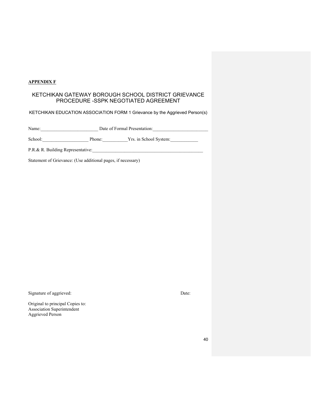# **APPENDIX F**

# KETCHIKAN GATEWAY BOROUGH SCHOOL DISTRICT GRIEVANCE PROCEDURE -SSPK NEGOTIATED AGREEMENT

KETCHIKAN EDUCATION ASSOCIATION FORM 1 Grievance by the Aggrieved Person(s)

Name: Contract Date of Formal Presentation:

School:\_\_\_\_\_\_\_\_\_\_\_\_\_\_\_\_\_\_\_\_ Phone:\_\_\_\_\_\_\_\_\_\_\_Yrs. in School System:\_\_\_\_\_\_\_\_\_\_\_\_

P.R.& R. Building Representative:

Statement of Grievance: (Use additional pages, if necessary)

Signature of aggrieved: Date: Date:

Original to principal Copies to: Association Superintendent Aggrieved Person

40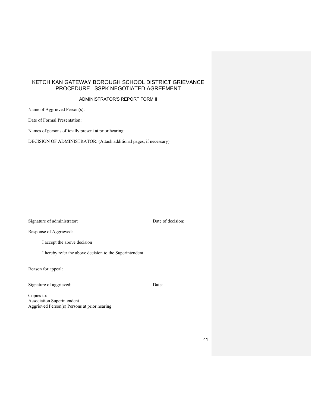# KETCHIKAN GATEWAY BOROUGH SCHOOL DISTRICT GRIEVANCE PROCEDURE –SSPK NEGOTIATED AGREEMENT

#### ADMINISTRATOR'S REPORT FORM II

Name of Aggrieved Person(s):

Date of Formal Presentation:

Names of persons officially present at prior hearing:

DECISION OF ADMINISTRATOR: (Attach additional pages, if necessary)

Signature of administrator: Date of decision:

Response of Aggrieved:

I accept the above decision

I hereby refer the above decision to the Superintendent.

Reason for appeal:

Signature of aggrieved: Date:

Copies to: Association Superintendent Aggrieved Person(s) Persons at prior hearing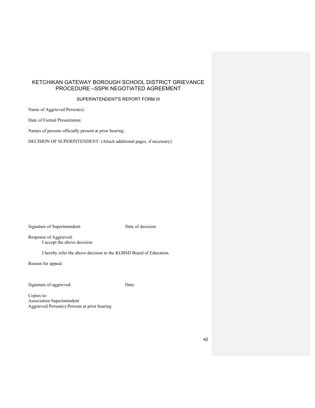# KETCHIKAN GATEWAY BOROUGH SCHOOL DISTRICT GRIEVANCE PROCEDURE –SSPK NEGOTIATED AGREEMENT

# SUPERINTENDENT'S REPORT FORM III

Name of Aggrieved Person(s):

Date of Formal Presentation:

Names of persons officially present at prior hearing:

DECISION OF SUPERINTENDENT: (Attach additional pages, if necessary)

Signature of Superintendent: Date of decision:

Response of Aggrieved: I accept the above decision.

I hereby refer the above decision to the KGBSD Board of Education.

Reason for appeal:

Signature of aggrieved: Date:

Copies to: Association Superintendent Aggrieved Person(s) Persons at prior hearing